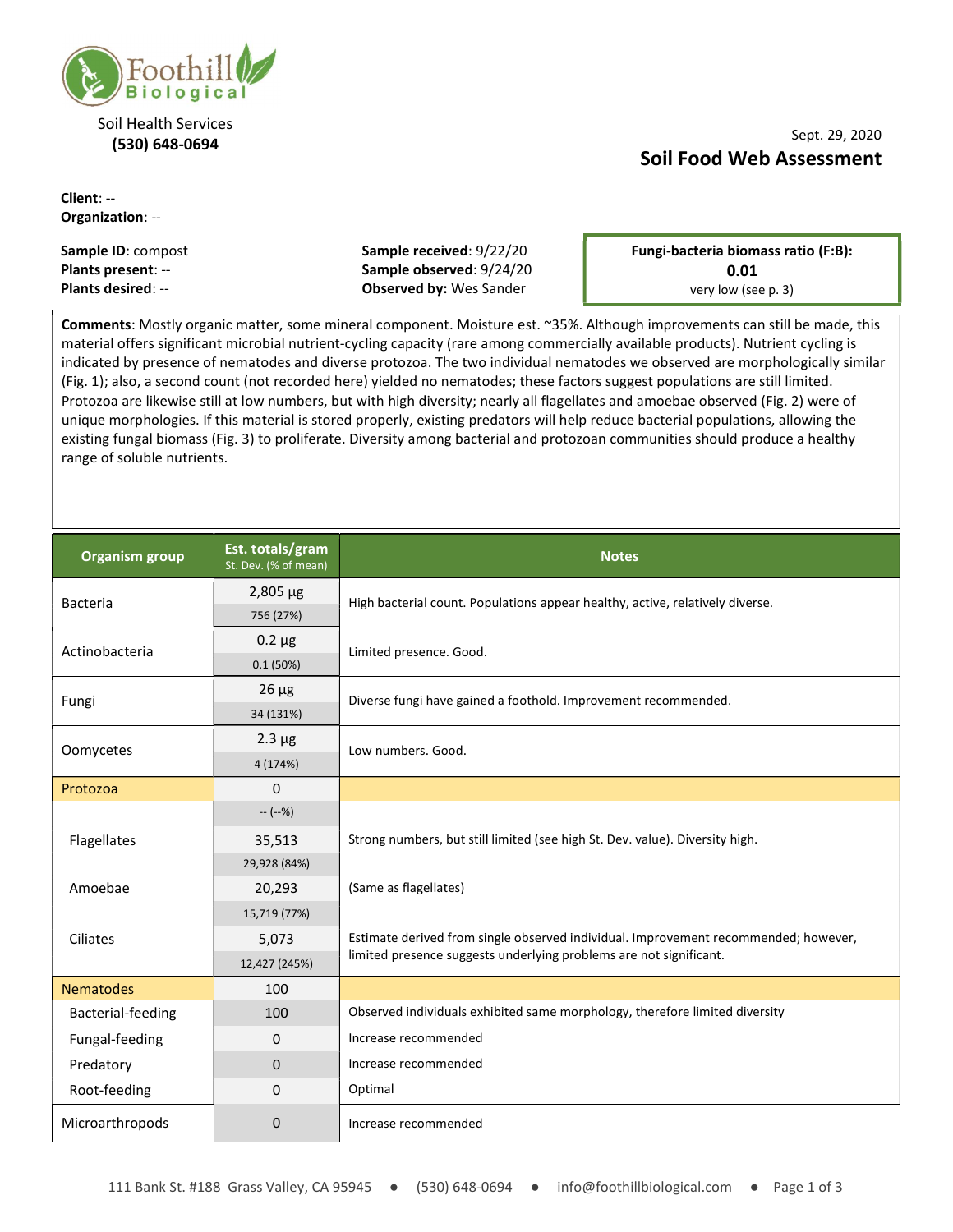

#### Soil Health Services (530) 648-0694

#### Client: -- Organization: --

### Sept. 29, 2020 Soil Food Web Assessment

| <b>Sample ID: compost</b> | Sample received: 9/22/20       | Fungi-bacteria biomass ratio (F:B): |
|---------------------------|--------------------------------|-------------------------------------|
| <b>Plants present: --</b> | Sample observed: 9/24/20       | 0.01                                |
| <b>Plants desired: --</b> | <b>Observed by: Wes Sander</b> | very low (see p. 3)                 |

Comments: Mostly organic matter, some mineral component. Moisture est. ~35%. Although improvements can still be made, this material offers significant microbial nutrient-cycling capacity (rare among commercially available products). Nutrient cycling is indicated by presence of nematodes and diverse protozoa. The two individual nematodes we observed are morphologically similar (Fig. 1); also, a second count (not recorded here) yielded no nematodes; these factors suggest populations are still limited. Protozoa are likewise still at low numbers, but with high diversity; nearly all flagellates and amoebae observed (Fig. 2) were of unique morphologies. If this material is stored properly, existing predators will help reduce bacterial populations, allowing the existing fungal biomass (Fig. 3) to proliferate. Diversity among bacterial and protozoan communities should produce a healthy range of soluble nutrients.

| <b>Organism group</b> | Est. totals/gram<br>St. Dev. (% of mean) | <b>Notes</b>                                                                                                                                                                                                                                                       |  |
|-----------------------|------------------------------------------|--------------------------------------------------------------------------------------------------------------------------------------------------------------------------------------------------------------------------------------------------------------------|--|
| <b>Bacteria</b>       | $2,805 \mu g$                            | High bacterial count. Populations appear healthy, active, relatively diverse.                                                                                                                                                                                      |  |
|                       | 756 (27%)                                |                                                                                                                                                                                                                                                                    |  |
| Actinobacteria        | $0.2 \mu g$                              | Limited presence. Good.                                                                                                                                                                                                                                            |  |
|                       | 0.1(50%)                                 |                                                                                                                                                                                                                                                                    |  |
| Fungi                 | $26 \mu g$                               | Diverse fungi have gained a foothold. Improvement recommended.                                                                                                                                                                                                     |  |
|                       | 34 (131%)                                |                                                                                                                                                                                                                                                                    |  |
| Oomycetes             | $2.3 \mu g$                              | Low numbers. Good.                                                                                                                                                                                                                                                 |  |
|                       | 4 (174%)                                 |                                                                                                                                                                                                                                                                    |  |
| Protozoa              | $\Omega$                                 |                                                                                                                                                                                                                                                                    |  |
|                       | $-(-% )$                                 | Strong numbers, but still limited (see high St. Dev. value). Diversity high.<br>(Same as flagellates)<br>Estimate derived from single observed individual. Improvement recommended; however,<br>limited presence suggests underlying problems are not significant. |  |
| Flagellates           | 35,513                                   |                                                                                                                                                                                                                                                                    |  |
|                       | 29,928 (84%)                             |                                                                                                                                                                                                                                                                    |  |
| Amoebae               | 20,293                                   |                                                                                                                                                                                                                                                                    |  |
|                       | 15,719 (77%)                             |                                                                                                                                                                                                                                                                    |  |
| Ciliates              | 5,073                                    |                                                                                                                                                                                                                                                                    |  |
|                       | 12,427 (245%)                            |                                                                                                                                                                                                                                                                    |  |
| <b>Nematodes</b>      | 100                                      |                                                                                                                                                                                                                                                                    |  |
| Bacterial-feeding     | 100                                      | Observed individuals exhibited same morphology, therefore limited diversity                                                                                                                                                                                        |  |
| Fungal-feeding        | 0                                        | Increase recommended                                                                                                                                                                                                                                               |  |
| Predatory             | $\mathbf{0}$                             | Increase recommended                                                                                                                                                                                                                                               |  |
| Root-feeding          | $\Omega$                                 | Optimal                                                                                                                                                                                                                                                            |  |
| Microarthropods       | $\mathbf 0$                              | Increase recommended                                                                                                                                                                                                                                               |  |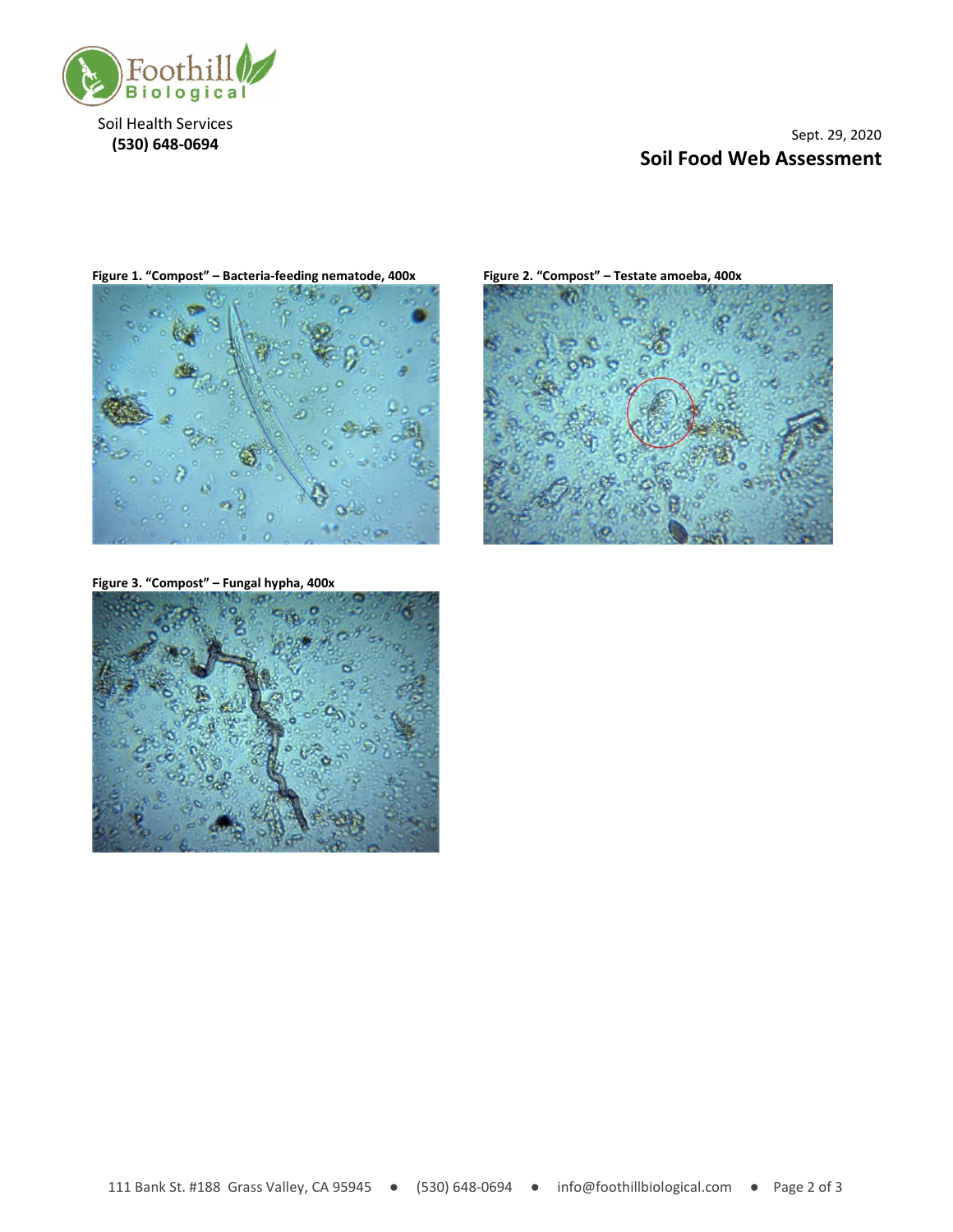

Soil Health Services (530) 648-0694

## Sept. 29, 2020 Soil Food Web Assessment

Figure 1. "Compost" – Bacteria-feeding nematode, 400x Figure 2. "Compost" – Testate amoeba, 400x



Figure 3. "Compost" – Fungal hypha, 400x